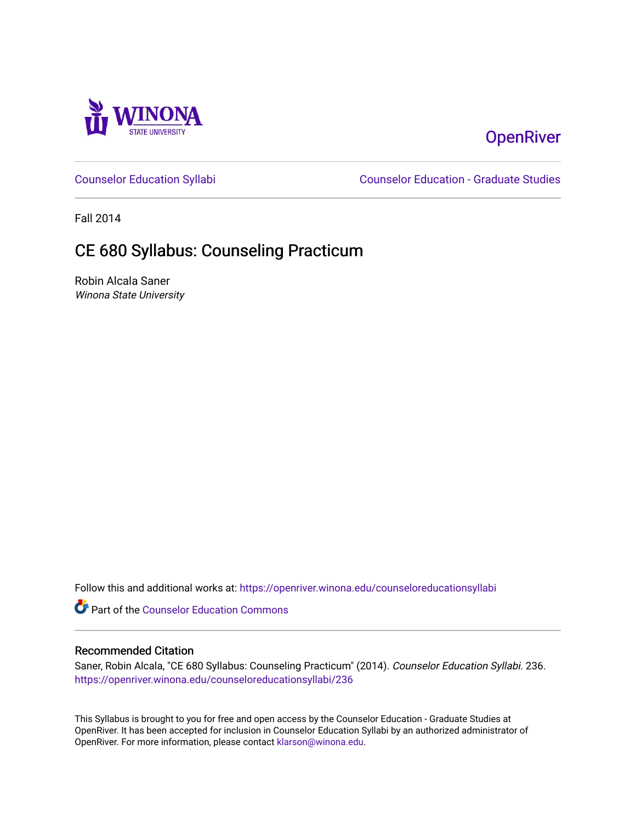

# **OpenRiver**

[Counselor Education Syllabi](https://openriver.winona.edu/counseloreducationsyllabi) [Counselor Education - Graduate Studies](https://openriver.winona.edu/counseloreducation) 

Fall 2014

# CE 680 Syllabus: Counseling Practicum

Robin Alcala Saner Winona State University

Follow this and additional works at: [https://openriver.winona.edu/counseloreducationsyllabi](https://openriver.winona.edu/counseloreducationsyllabi?utm_source=openriver.winona.edu%2Fcounseloreducationsyllabi%2F236&utm_medium=PDF&utm_campaign=PDFCoverPages)

Part of the [Counselor Education Commons](http://network.bepress.com/hgg/discipline/1278?utm_source=openriver.winona.edu%2Fcounseloreducationsyllabi%2F236&utm_medium=PDF&utm_campaign=PDFCoverPages) 

#### Recommended Citation

Saner, Robin Alcala, "CE 680 Syllabus: Counseling Practicum" (2014). Counselor Education Syllabi. 236. [https://openriver.winona.edu/counseloreducationsyllabi/236](https://openriver.winona.edu/counseloreducationsyllabi/236?utm_source=openriver.winona.edu%2Fcounseloreducationsyllabi%2F236&utm_medium=PDF&utm_campaign=PDFCoverPages)

This Syllabus is brought to you for free and open access by the Counselor Education - Graduate Studies at OpenRiver. It has been accepted for inclusion in Counselor Education Syllabi by an authorized administrator of OpenRiver. For more information, please contact [klarson@winona.edu](mailto:klarson@winona.edu).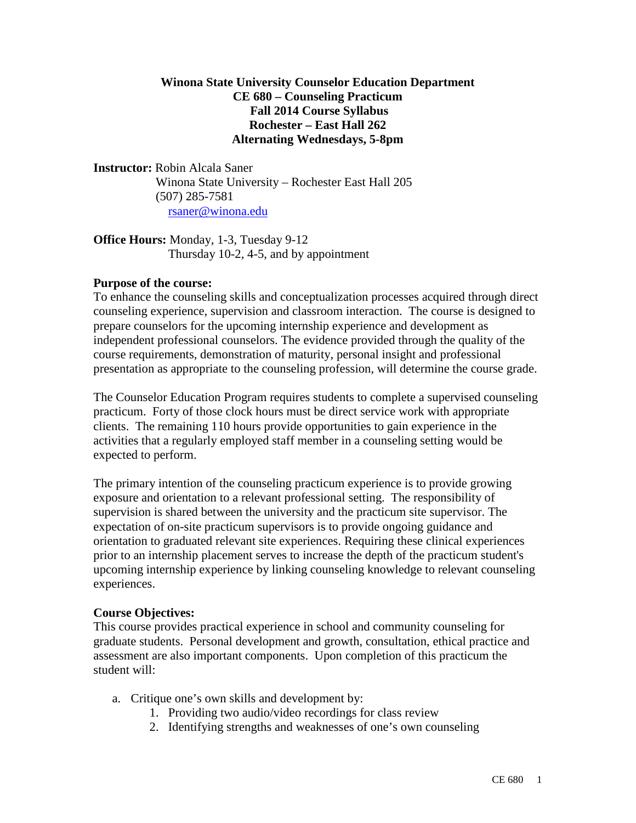### **Winona State University Counselor Education Department CE 680 – Counseling Practicum Fall 2014 Course Syllabus Rochester – East Hall 262 Alternating Wednesdays, 5-8pm**

**Instructor:** Robin Alcala Saner Winona State University – Rochester East Hall 205 (507) 285-7581 [rsaner@winona.edu](mailto:rsaner@winona.edu)

**Office Hours:** Monday, 1-3, Tuesday 9-12 Thursday 10-2, 4-5, and by appointment

### **Purpose of the course:**

To enhance the counseling skills and conceptualization processes acquired through direct counseling experience, supervision and classroom interaction. The course is designed to prepare counselors for the upcoming internship experience and development as independent professional counselors. The evidence provided through the quality of the course requirements, demonstration of maturity, personal insight and professional presentation as appropriate to the counseling profession, will determine the course grade.

The Counselor Education Program requires students to complete a supervised counseling practicum. Forty of those clock hours must be direct service work with appropriate clients. The remaining 110 hours provide opportunities to gain experience in the activities that a regularly employed staff member in a counseling setting would be expected to perform.

The primary intention of the counseling practicum experience is to provide growing exposure and orientation to a relevant professional setting. The responsibility of supervision is shared between the university and the practicum site supervisor. The expectation of on-site practicum supervisors is to provide ongoing guidance and orientation to graduated relevant site experiences. Requiring these clinical experiences prior to an internship placement serves to increase the depth of the practicum student's upcoming internship experience by linking counseling knowledge to relevant counseling experiences.

# **Course Objectives:**

This course provides practical experience in school and community counseling for graduate students. Personal development and growth, consultation, ethical practice and assessment are also important components. Upon completion of this practicum the student will:

- a. Critique one's own skills and development by:
	- 1. Providing two audio/video recordings for class review
	- 2. Identifying strengths and weaknesses of one's own counseling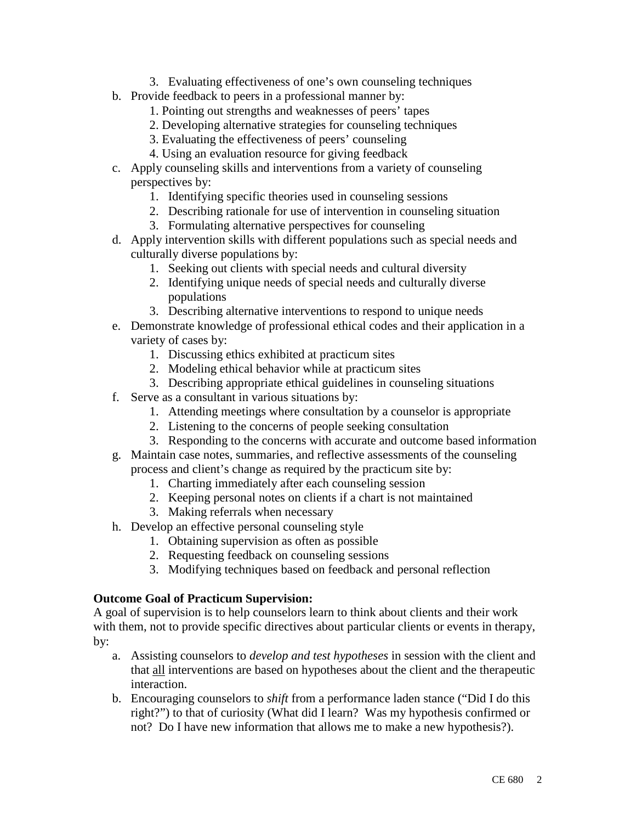- 3. Evaluating effectiveness of one's own counseling techniques
- b. Provide feedback to peers in a professional manner by:
	- 1. Pointing out strengths and weaknesses of peers' tapes
	- 2. Developing alternative strategies for counseling techniques
	- 3. Evaluating the effectiveness of peers' counseling
	- 4. Using an evaluation resource for giving feedback
- c. Apply counseling skills and interventions from a variety of counseling perspectives by:
	- 1. Identifying specific theories used in counseling sessions
	- 2. Describing rationale for use of intervention in counseling situation
	- 3. Formulating alternative perspectives for counseling
- d. Apply intervention skills with different populations such as special needs and culturally diverse populations by:
	- 1. Seeking out clients with special needs and cultural diversity
	- 2. Identifying unique needs of special needs and culturally diverse populations
	- 3. Describing alternative interventions to respond to unique needs
- e. Demonstrate knowledge of professional ethical codes and their application in a variety of cases by:
	- 1. Discussing ethics exhibited at practicum sites
	- 2. Modeling ethical behavior while at practicum sites
	- 3. Describing appropriate ethical guidelines in counseling situations
- f. Serve as a consultant in various situations by:
	- 1. Attending meetings where consultation by a counselor is appropriate
	- 2. Listening to the concerns of people seeking consultation
	- 3. Responding to the concerns with accurate and outcome based information
- g. Maintain case notes, summaries, and reflective assessments of the counseling process and client's change as required by the practicum site by:
	- 1. Charting immediately after each counseling session
	- 2. Keeping personal notes on clients if a chart is not maintained
	- 3. Making referrals when necessary
- h. Develop an effective personal counseling style
	- 1. Obtaining supervision as often as possible
	- 2. Requesting feedback on counseling sessions
	- 3. Modifying techniques based on feedback and personal reflection

#### **Outcome Goal of Practicum Supervision:**

A goal of supervision is to help counselors learn to think about clients and their work with them, not to provide specific directives about particular clients or events in therapy, by:

- a. Assisting counselors to *develop and test hypotheses* in session with the client and that all interventions are based on hypotheses about the client and the therapeutic interaction.
- b. Encouraging counselors to *shift* from a performance laden stance ("Did I do this right?") to that of curiosity (What did I learn? Was my hypothesis confirmed or not? Do I have new information that allows me to make a new hypothesis?).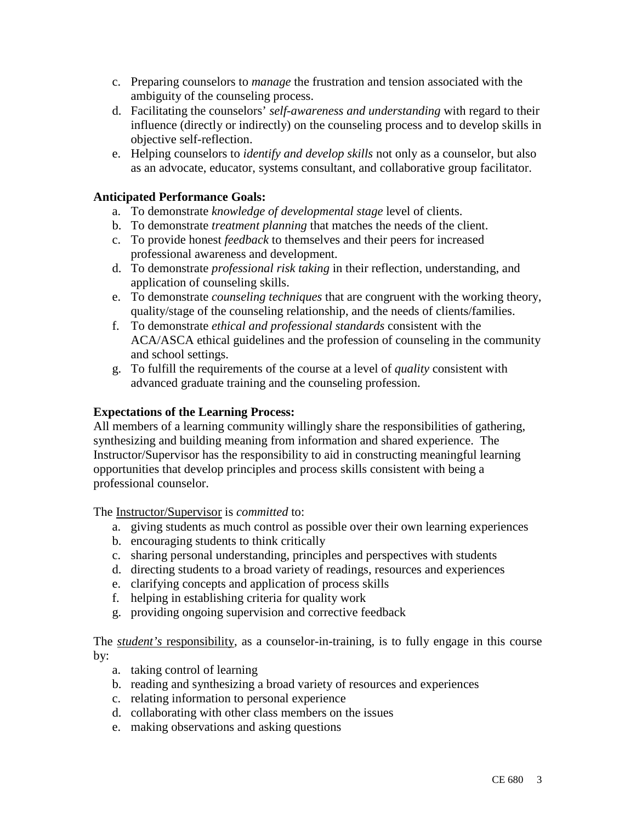- c. Preparing counselors to *manage* the frustration and tension associated with the ambiguity of the counseling process.
- d. Facilitating the counselors' *self-awareness and understanding* with regard to their influence (directly or indirectly) on the counseling process and to develop skills in objective self-reflection.
- e. Helping counselors to *identify and develop skills* not only as a counselor, but also as an advocate, educator, systems consultant, and collaborative group facilitator.

### **Anticipated Performance Goals:**

- a. To demonstrate *knowledge of developmental stage* level of clients.
- b. To demonstrate *treatment planning* that matches the needs of the client.
- c. To provide honest *feedback* to themselves and their peers for increased professional awareness and development.
- d. To demonstrate *professional risk taking* in their reflection, understanding, and application of counseling skills.
- e. To demonstrate *counseling techniques* that are congruent with the working theory, quality/stage of the counseling relationship, and the needs of clients/families.
- f. To demonstrate *ethical and professional standards* consistent with the ACA/ASCA ethical guidelines and the profession of counseling in the community and school settings.
- g. To fulfill the requirements of the course at a level of *quality* consistent with advanced graduate training and the counseling profession.

### **Expectations of the Learning Process:**

All members of a learning community willingly share the responsibilities of gathering, synthesizing and building meaning from information and shared experience. The Instructor/Supervisor has the responsibility to aid in constructing meaningful learning opportunities that develop principles and process skills consistent with being a professional counselor.

The Instructor/Supervisor is *committed* to:

- a. giving students as much control as possible over their own learning experiences
- b. encouraging students to think critically
- c. sharing personal understanding, principles and perspectives with students
- d. directing students to a broad variety of readings, resources and experiences
- e. clarifying concepts and application of process skills
- f. helping in establishing criteria for quality work
- g. providing ongoing supervision and corrective feedback

The *student's* responsibility, as a counselor-in-training, is to fully engage in this course by:

- a. taking control of learning
- b. reading and synthesizing a broad variety of resources and experiences
- c. relating information to personal experience
- d. collaborating with other class members on the issues
- e. making observations and asking questions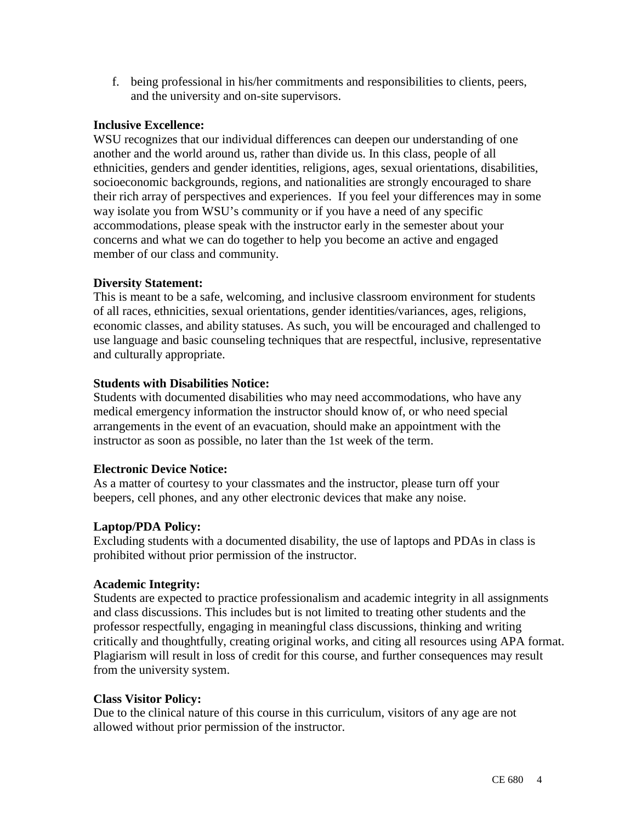f. being professional in his/her commitments and responsibilities to clients, peers, and the university and on-site supervisors.

### **Inclusive Excellence:**

WSU recognizes that our individual differences can deepen our understanding of one another and the world around us, rather than divide us. In this class, people of all ethnicities, genders and gender identities, religions, ages, sexual orientations, disabilities, socioeconomic backgrounds, regions, and nationalities are strongly encouraged to share their rich array of perspectives and experiences. If you feel your differences may in some way isolate you from WSU's community or if you have a need of any specific accommodations, please speak with the instructor early in the semester about your concerns and what we can do together to help you become an active and engaged member of our class and community.

### **Diversity Statement:**

This is meant to be a safe, welcoming, and inclusive classroom environment for students of all races, ethnicities, sexual orientations, gender identities/variances, ages, religions, economic classes, and ability statuses. As such, you will be encouraged and challenged to use language and basic counseling techniques that are respectful, inclusive, representative and culturally appropriate.

### **Students with Disabilities Notice:**

Students with documented disabilities who may need accommodations, who have any medical emergency information the instructor should know of, or who need special arrangements in the event of an evacuation, should make an appointment with the instructor as soon as possible, no later than the 1st week of the term.

# **Electronic Device Notice:**

As a matter of courtesy to your classmates and the instructor, please turn off your beepers, cell phones, and any other electronic devices that make any noise.

# **Laptop/PDA Policy:**

Excluding students with a documented disability, the use of laptops and PDAs in class is prohibited without prior permission of the instructor.

#### **Academic Integrity:**

Students are expected to practice professionalism and academic integrity in all assignments and class discussions. This includes but is not limited to treating other students and the professor respectfully, engaging in meaningful class discussions, thinking and writing critically and thoughtfully, creating original works, and citing all resources using APA format. Plagiarism will result in loss of credit for this course, and further consequences may result from the university system.

#### **Class Visitor Policy:**

Due to the clinical nature of this course in this curriculum, visitors of any age are not allowed without prior permission of the instructor.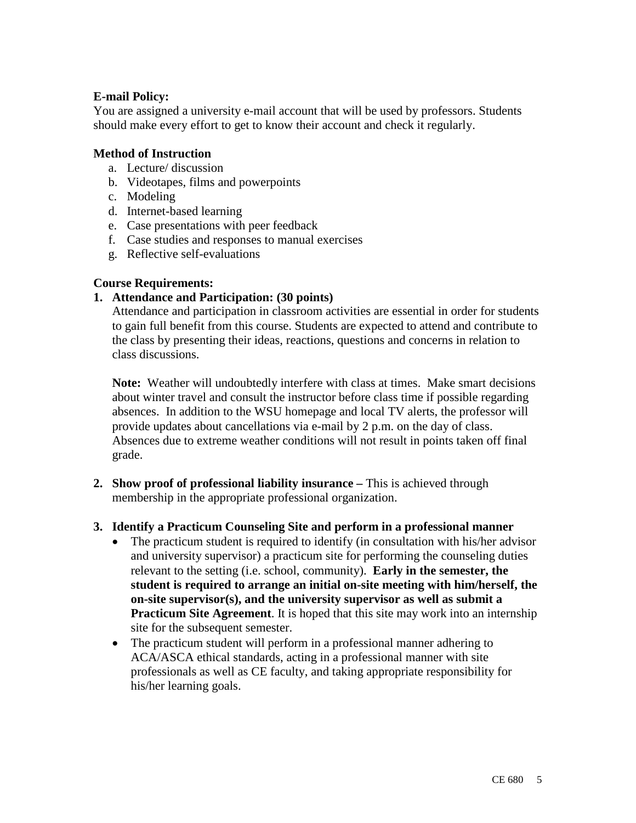### **E-mail Policy:**

You are assigned a university e-mail account that will be used by professors. Students should make every effort to get to know their account and check it regularly.

#### **Method of Instruction**

- a. Lecture/ discussion
- b. Videotapes, films and powerpoints
- c. Modeling
- d. Internet-based learning
- e. Case presentations with peer feedback
- f. Case studies and responses to manual exercises
- g. Reflective self-evaluations

### **Course Requirements:**

### **1. Attendance and Participation: (30 points)**

Attendance and participation in classroom activities are essential in order for students to gain full benefit from this course. Students are expected to attend and contribute to the class by presenting their ideas, reactions, questions and concerns in relation to class discussions.

**Note:** Weather will undoubtedly interfere with class at times. Make smart decisions about winter travel and consult the instructor before class time if possible regarding absences. In addition to the WSU homepage and local TV alerts, the professor will provide updates about cancellations via e-mail by 2 p.m. on the day of class. Absences due to extreme weather conditions will not result in points taken off final grade.

**2. Show proof of professional liability insurance –** This is achieved through membership in the appropriate professional organization.

#### **3. Identify a Practicum Counseling Site and perform in a professional manner**

- The practicum student is required to identify (in consultation with his/her advisor and university supervisor) a practicum site for performing the counseling duties relevant to the setting (i.e. school, community). **Early in the semester, the student is required to arrange an initial on-site meeting with him/herself, the on-site supervisor(s), and the university supervisor as well as submit a Practicum Site Agreement**. It is hoped that this site may work into an internship site for the subsequent semester.
- The practicum student will perform in a professional manner adhering to ACA/ASCA ethical standards, acting in a professional manner with site professionals as well as CE faculty, and taking appropriate responsibility for his/her learning goals.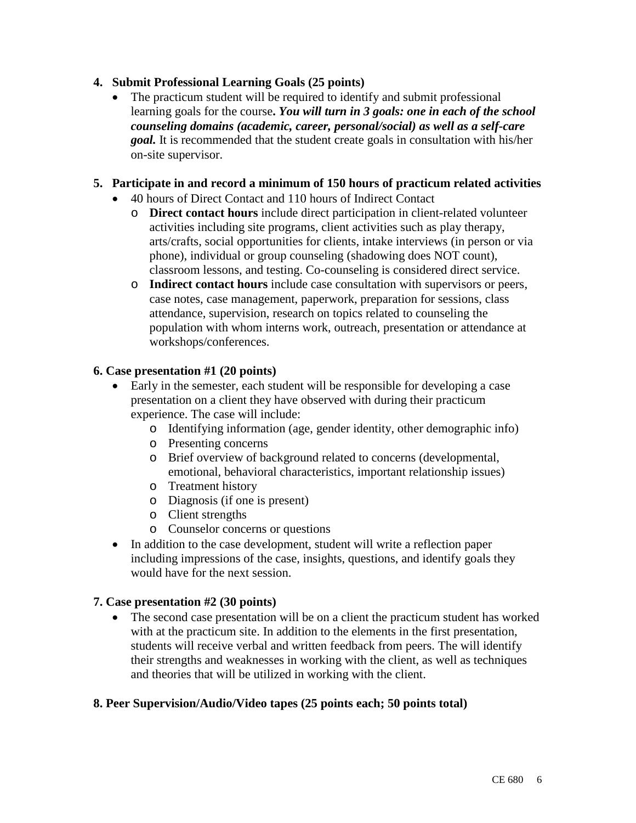# **4. Submit Professional Learning Goals (25 points)**

The practicum student will be required to identify and submit professional learning goals for the course**.** *You will turn in 3 goals: one in each of the school counseling domains (academic, career, personal/social) as well as a self-care goal.* It is recommended that the student create goals in consultation with his/her on-site supervisor.

# **5. Participate in and record a minimum of 150 hours of practicum related activities**

- 40 hours of Direct Contact and 110 hours of Indirect Contact
	- o **Direct contact hours** include direct participation in client-related volunteer activities including site programs, client activities such as play therapy, arts/crafts, social opportunities for clients, intake interviews (in person or via phone), individual or group counseling (shadowing does NOT count), classroom lessons, and testing. Co-counseling is considered direct service.
	- o **Indirect contact hours** include case consultation with supervisors or peers, case notes, case management, paperwork, preparation for sessions, class attendance, supervision, research on topics related to counseling the population with whom interns work, outreach, presentation or attendance at workshops/conferences.

# **6. Case presentation #1 (20 points)**

- Early in the semester, each student will be responsible for developing a case presentation on a client they have observed with during their practicum experience. The case will include:
	- o Identifying information (age, gender identity, other demographic info)
	- o Presenting concerns
	- o Brief overview of background related to concerns (developmental, emotional, behavioral characteristics, important relationship issues)
	- o Treatment history
	- o Diagnosis (if one is present)
	- o Client strengths
	- o Counselor concerns or questions
- In addition to the case development, student will write a reflection paper including impressions of the case, insights, questions, and identify goals they would have for the next session.

# **7. Case presentation #2 (30 points)**

• The second case presentation will be on a client the practicum student has worked with at the practicum site. In addition to the elements in the first presentation, students will receive verbal and written feedback from peers. The will identify their strengths and weaknesses in working with the client, as well as techniques and theories that will be utilized in working with the client.

# **8. Peer Supervision/Audio/Video tapes (25 points each; 50 points total)**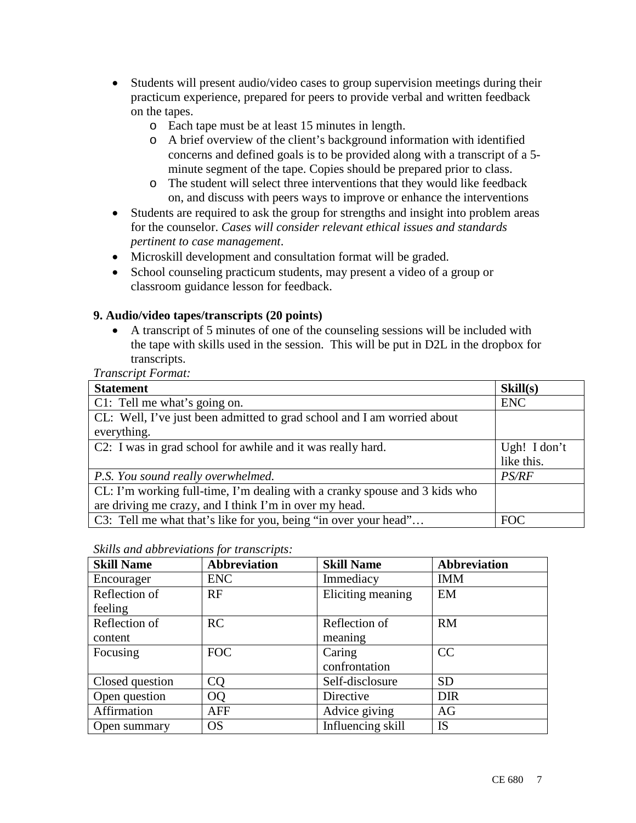- Students will present audio/video cases to group supervision meetings during their practicum experience, prepared for peers to provide verbal and written feedback on the tapes.
	- o Each tape must be at least 15 minutes in length.
	- o A brief overview of the client's background information with identified concerns and defined goals is to be provided along with a transcript of a 5 minute segment of the tape. Copies should be prepared prior to class.
	- o The student will select three interventions that they would like feedback on, and discuss with peers ways to improve or enhance the interventions
- Students are required to ask the group for strengths and insight into problem areas for the counselor. *Cases will consider relevant ethical issues and standards pertinent to case management*.
- Microskill development and consultation format will be graded.
- School counseling practicum students, may present a video of a group or classroom guidance lesson for feedback.

# **9. Audio/video tapes/transcripts (20 points)**

• A transcript of 5 minutes of one of the counseling sessions will be included with the tape with skills used in the session. This will be put in D2L in the dropbox for transcripts.

*Transcript Format:*

| <b>Statement</b>                                                           | Skill(s)     |
|----------------------------------------------------------------------------|--------------|
| C1: Tell me what's going on.                                               | <b>ENC</b>   |
| CL: Well, I've just been admitted to grad school and I am worried about    |              |
| everything.                                                                |              |
| C2: I was in grad school for awhile and it was really hard.                | Ugh! I don't |
|                                                                            | like this.   |
| P.S. You sound really overwhelmed.                                         | PS/RF        |
| CL: I'm working full-time, I'm dealing with a cranky spouse and 3 kids who |              |
| are driving me crazy, and I think I'm in over my head.                     |              |
| C3: Tell me what that's like for you, being "in over your head"            | <b>FOC</b>   |

*Skills and abbreviations for transcripts:*

| <b>Skill Name</b> | <b>Abbreviation</b> | <b>Skill Name</b> | <b>Abbreviation</b> |
|-------------------|---------------------|-------------------|---------------------|
| Encourager        | <b>ENC</b>          | Immediacy         | <b>IMM</b>          |
| Reflection of     | RF                  | Eliciting meaning | EM                  |
| feeling           |                     |                   |                     |
| Reflection of     | RC                  | Reflection of     | <b>RM</b>           |
| content           |                     | meaning           |                     |
| Focusing          | <b>FOC</b>          | Caring            | CC                  |
|                   |                     | confrontation     |                     |
| Closed question   | CQ                  | Self-disclosure   | <b>SD</b>           |
| Open question     | <b>OQ</b>           | Directive         | <b>DIR</b>          |
| Affirmation       | AFF                 | Advice giving     | AG                  |
| Open summary      | <b>OS</b>           | Influencing skill | <b>IS</b>           |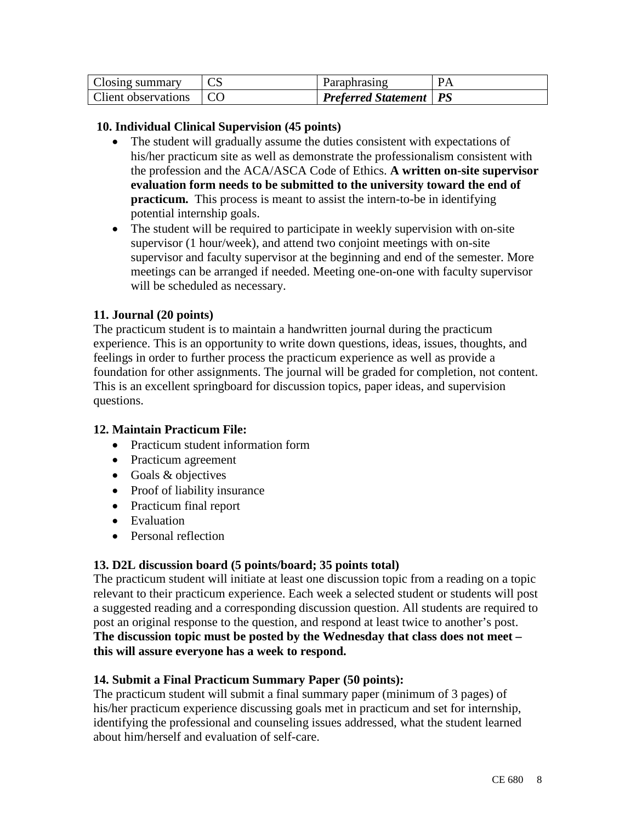| <b>Closing summary</b>     | $\cap$ c | Paraphrasing                    | <b>PA</b> |
|----------------------------|----------|---------------------------------|-----------|
| <b>Client observations</b> |          | <b>Preferred Statement   PS</b> |           |

### **10. Individual Clinical Supervision (45 points)**

- The student will gradually assume the duties consistent with expectations of his/her practicum site as well as demonstrate the professionalism consistent with the profession and the ACA/ASCA Code of Ethics. **A written on-site supervisor evaluation form needs to be submitted to the university toward the end of practicum.** This process is meant to assist the intern-to-be in identifying potential internship goals.
- The student will be required to participate in weekly supervision with on-site supervisor (1 hour/week), and attend two conjoint meetings with on-site supervisor and faculty supervisor at the beginning and end of the semester. More meetings can be arranged if needed. Meeting one-on-one with faculty supervisor will be scheduled as necessary.

### **11. Journal (20 points)**

The practicum student is to maintain a handwritten journal during the practicum experience. This is an opportunity to write down questions, ideas, issues, thoughts, and feelings in order to further process the practicum experience as well as provide a foundation for other assignments. The journal will be graded for completion, not content. This is an excellent springboard for discussion topics, paper ideas, and supervision questions.

#### **12. Maintain Practicum File:**

- Practicum student information form
- Practicum agreement
- Goals & objectives
- Proof of liability insurance
- Practicum final report
- Evaluation
- Personal reflection

#### **13. D2L discussion board (5 points/board; 35 points total)**

The practicum student will initiate at least one discussion topic from a reading on a topic relevant to their practicum experience. Each week a selected student or students will post a suggested reading and a corresponding discussion question. All students are required to post an original response to the question, and respond at least twice to another's post. **The discussion topic must be posted by the Wednesday that class does not meet – this will assure everyone has a week to respond.**

#### **14. Submit a Final Practicum Summary Paper (50 points):**

The practicum student will submit a final summary paper (minimum of 3 pages) of his/her practicum experience discussing goals met in practicum and set for internship, identifying the professional and counseling issues addressed, what the student learned about him/herself and evaluation of self-care.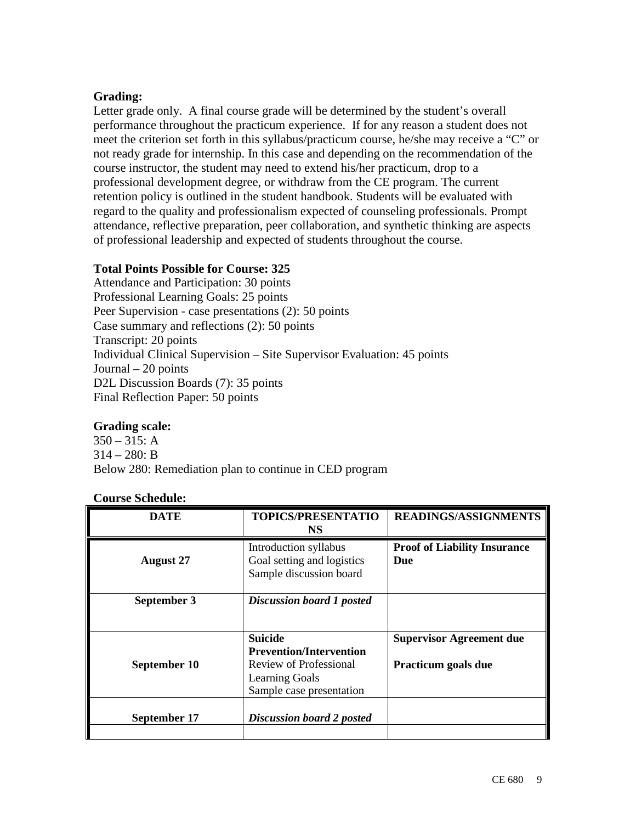### **Grading:**

Letter grade only. A final course grade will be determined by the student's overall performance throughout the practicum experience. If for any reason a student does not meet the criterion set forth in this syllabus/practicum course, he/she may receive a "C" or not ready grade for internship. In this case and depending on the recommendation of the course instructor, the student may need to extend his/her practicum, drop to a professional development degree, or withdraw from the CE program. The current retention policy is outlined in the student handbook. Students will be evaluated with regard to the quality and professionalism expected of counseling professionals. Prompt attendance, reflective preparation, peer collaboration, and synthetic thinking are aspects of professional leadership and expected of students throughout the course.

# **Total Points Possible for Course: 325**

Attendance and Participation: 30 points Professional Learning Goals: 25 points Peer Supervision - case presentations (2): 50 points Case summary and reflections (2): 50 points Transcript: 20 points Individual Clinical Supervision – Site Supervisor Evaluation: 45 points Journal – 20 points D<sub>2</sub>L Discussion Boards (7): 35 points Final Reflection Paper: 50 points

# **Grading scale:**

 $350 - 315$ : A  $314 - 280$ : B Below 280: Remediation plan to continue in CED program

#### **Course Schedule:**

| <b>DATE</b>      | <b>TOPICS/PRESENTATIO</b><br>NS.                                                                                                | <b>READINGS/ASSIGNMENTS</b>                            |
|------------------|---------------------------------------------------------------------------------------------------------------------------------|--------------------------------------------------------|
| <b>August 27</b> | Introduction syllabus<br>Goal setting and logistics<br>Sample discussion board                                                  | <b>Proof of Liability Insurance</b><br>Due             |
| September 3      | <b>Discussion board 1 posted</b>                                                                                                |                                                        |
|                  |                                                                                                                                 |                                                        |
| September 10     | <b>Suicide</b><br><b>Prevention/Intervention</b><br>Review of Professional<br><b>Learning Goals</b><br>Sample case presentation | <b>Supervisor Agreement due</b><br>Practicum goals due |
| September 17     | <b>Discussion board 2 posted</b>                                                                                                |                                                        |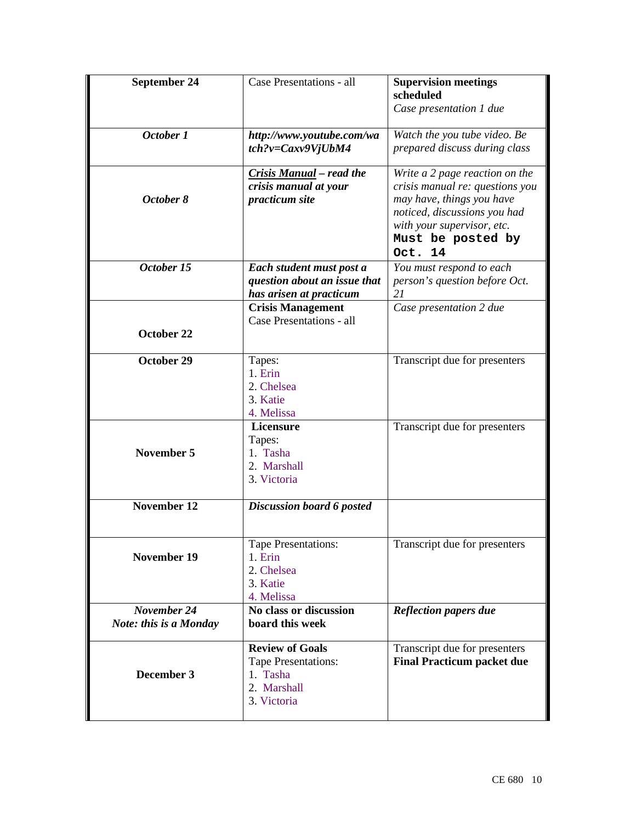| September 24                                 | Case Presentations - all                                                                | <b>Supervision meetings</b><br>scheduled<br>Case presentation 1 due                                                                                                                          |
|----------------------------------------------|-----------------------------------------------------------------------------------------|----------------------------------------------------------------------------------------------------------------------------------------------------------------------------------------------|
| October 1                                    | http://www.youtube.com/wa<br>$tch?v = Caxv9VjUbM4$                                      | Watch the you tube video. Be<br>prepared discuss during class                                                                                                                                |
| October 8                                    | Crisis Manual – read the<br>crisis manual at your<br>practicum site                     | Write a 2 page reaction on the<br>crisis manual re: questions you<br>may have, things you have<br>noticed, discussions you had<br>with your supervisor, etc.<br>Must be posted by<br>Oct. 14 |
| October 15                                   | Each student must post a<br>question about an issue that<br>has arisen at practicum     | You must respond to each<br>person's question before Oct.<br>21                                                                                                                              |
|                                              | <b>Crisis Management</b><br>Case Presentations - all                                    | Case presentation 2 due                                                                                                                                                                      |
| October 22                                   |                                                                                         |                                                                                                                                                                                              |
| October 29                                   | Tapes:<br>1. Erin<br>2. Chelsea<br>3. Katie<br>4. Melissa                               | Transcript due for presenters                                                                                                                                                                |
| <b>November 5</b>                            | <b>Licensure</b><br>Tapes:<br>1. Tasha<br>2. Marshall<br>3. Victoria                    | Transcript due for presenters                                                                                                                                                                |
| November 12                                  | Discussion board 6 posted                                                               |                                                                                                                                                                                              |
| <b>November 19</b>                           | Tape Presentations:<br>1. Erin<br>2. Chelsea<br>3. Katie<br>4. Melissa                  | Transcript due for presenters                                                                                                                                                                |
| November 24<br><b>Note: this is a Monday</b> | No class or discussion<br>board this week                                               | <b>Reflection papers due</b>                                                                                                                                                                 |
| December 3                                   | <b>Review of Goals</b><br>Tape Presentations:<br>1. Tasha<br>2. Marshall<br>3. Victoria | Transcript due for presenters<br><b>Final Practicum packet due</b>                                                                                                                           |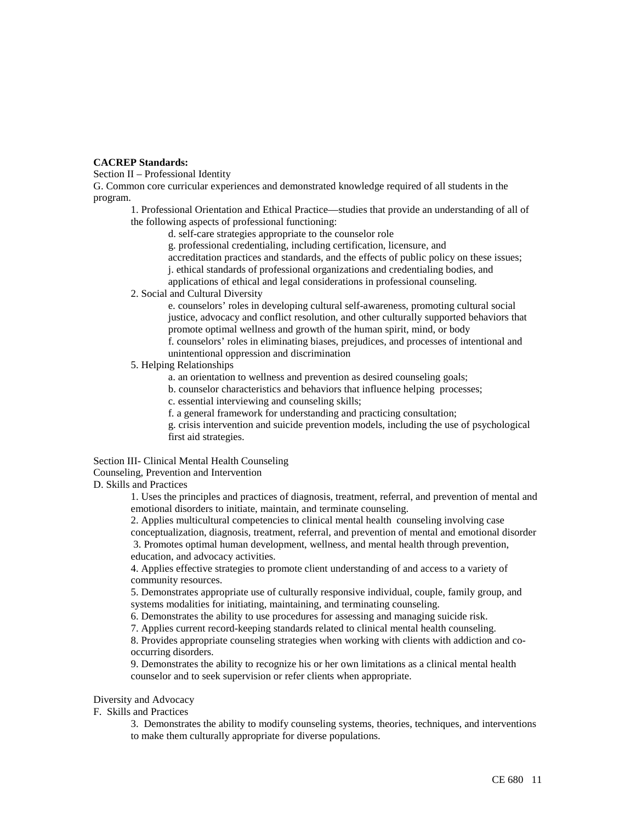#### **CACREP Standards:**

Section II – Professional Identity

G. Common core curricular experiences and demonstrated knowledge required of all students in the program.

1. Professional Orientation and Ethical Practice—studies that provide an understanding of all of the following aspects of professional functioning:

d. self-care strategies appropriate to the counselor role

g. professional credentialing, including certification, licensure, and

accreditation practices and standards, and the effects of public policy on these issues;

j. ethical standards of professional organizations and credentialing bodies, and

applications of ethical and legal considerations in professional counseling.

#### 2. Social and Cultural Diversity

e. counselors' roles in developing cultural self-awareness, promoting cultural social justice, advocacy and conflict resolution, and other culturally supported behaviors that promote optimal wellness and growth of the human spirit, mind, or body f. counselors' roles in eliminating biases, prejudices, and processes of intentional and unintentional oppression and discrimination

#### 5. Helping Relationships

a. an orientation to wellness and prevention as desired counseling goals;

b. counselor characteristics and behaviors that influence helping processes;

c. essential interviewing and counseling skills;

f. a general framework for understanding and practicing consultation;

g. crisis intervention and suicide prevention models, including the use of psychological first aid strategies.

# Section III- Clinical Mental Health Counseling

Counseling, Prevention and Intervention

D. Skills and Practices

1. Uses the principles and practices of diagnosis, treatment, referral, and prevention of mental and emotional disorders to initiate, maintain, and terminate counseling.

2. Applies multicultural competencies to clinical mental health counseling involving case conceptualization, diagnosis, treatment, referral, and prevention of mental and emotional disorder 3. Promotes optimal human development, wellness, and mental health through prevention, education, and advocacy activities.

 4. Applies effective strategies to promote client understanding of and access to a variety of community resources.

5. Demonstrates appropriate use of culturally responsive individual, couple, family group, and systems modalities for initiating, maintaining, and terminating counseling.

6. Demonstrates the ability to use procedures for assessing and managing suicide risk.

7. Applies current record-keeping standards related to clinical mental health counseling.

8. Provides appropriate counseling strategies when working with clients with addiction and cooccurring disorders.

9. Demonstrates the ability to recognize his or her own limitations as a clinical mental health counselor and to seek supervision or refer clients when appropriate.

Diversity and Advocacy

F. Skills and Practices

3. Demonstrates the ability to modify counseling systems, theories, techniques, and interventions to make them culturally appropriate for diverse populations.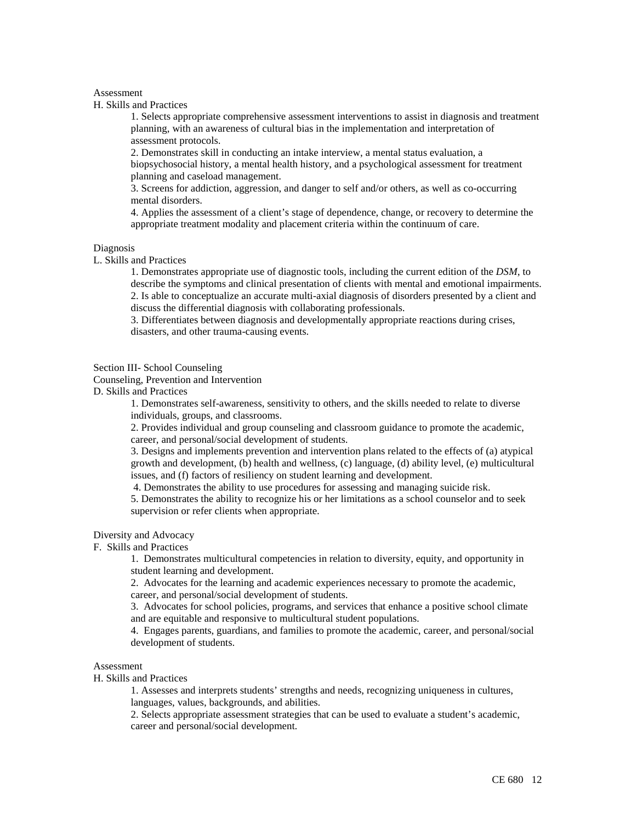#### Assessment

H. Skills and Practices

1. Selects appropriate comprehensive assessment interventions to assist in diagnosis and treatment planning, with an awareness of cultural bias in the implementation and interpretation of assessment protocols.

2. Demonstrates skill in conducting an intake interview, a mental status evaluation, a biopsychosocial history, a mental health history, and a psychological assessment for treatment planning and caseload management.

3. Screens for addiction, aggression, and danger to self and/or others, as well as co-occurring mental disorders.

4. Applies the assessment of a client's stage of dependence, change, or recovery to determine the appropriate treatment modality and placement criteria within the continuum of care.

#### Diagnosis

L. Skills and Practices

1. Demonstrates appropriate use of diagnostic tools, including the current edition of the *DSM*, to describe the symptoms and clinical presentation of clients with mental and emotional impairments. 2. Is able to conceptualize an accurate multi-axial diagnosis of disorders presented by a client and discuss the differential diagnosis with collaborating professionals.

3. Differentiates between diagnosis and developmentally appropriate reactions during crises, disasters, and other trauma-causing events.

#### Section III- School Counseling

Counseling, Prevention and Intervention

D. Skills and Practices

1. Demonstrates self-awareness, sensitivity to others, and the skills needed to relate to diverse individuals, groups, and classrooms.

2. Provides individual and group counseling and classroom guidance to promote the academic, career, and personal/social development of students.

3. Designs and implements prevention and intervention plans related to the effects of (a) atypical growth and development, (b) health and wellness, (c) language, (d) ability level, (e) multicultural issues, and (f) factors of resiliency on student learning and development.

4. Demonstrates the ability to use procedures for assessing and managing suicide risk.

5. Demonstrates the ability to recognize his or her limitations as a school counselor and to seek supervision or refer clients when appropriate.

#### Diversity and Advocacy

#### F. Skills and Practices

1. Demonstrates multicultural competencies in relation to diversity, equity, and opportunity in student learning and development.

2. Advocates for the learning and academic experiences necessary to promote the academic, career, and personal/social development of students.

3. Advocates for school policies, programs, and services that enhance a positive school climate and are equitable and responsive to multicultural student populations.

4. Engages parents, guardians, and families to promote the academic, career, and personal/social development of students.

#### Assessment

#### H. Skills and Practices

1. Assesses and interprets students' strengths and needs, recognizing uniqueness in cultures, languages, values, backgrounds, and abilities.

2. Selects appropriate assessment strategies that can be used to evaluate a student's academic, career and personal/social development.